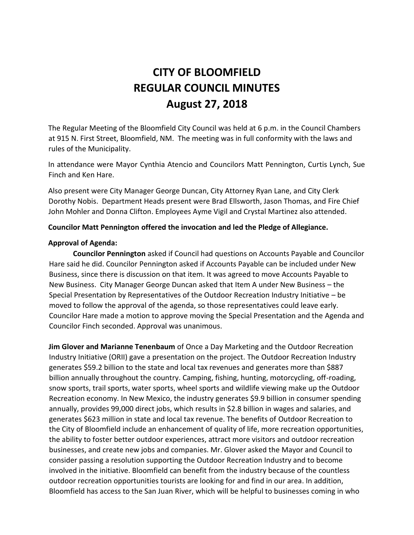# **CITY OF BLOOMFIELD REGULAR COUNCIL MINUTES August 27, 2018**

The Regular Meeting of the Bloomfield City Council was held at 6 p.m. in the Council Chambers at 915 N. First Street, Bloomfield, NM. The meeting was in full conformity with the laws and rules of the Municipality.

In attendance were Mayor Cynthia Atencio and Councilors Matt Pennington, Curtis Lynch, Sue Finch and Ken Hare.

Also present were City Manager George Duncan, City Attorney Ryan Lane, and City Clerk Dorothy Nobis. Department Heads present were Brad Ellsworth, Jason Thomas, and Fire Chief John Mohler and Donna Clifton. Employees Ayme Vigil and Crystal Martinez also attended.

## **Councilor Matt Pennington offered the invocation and led the Pledge of Allegiance.**

#### **Approval of Agenda:**

**Councilor Pennington** asked if Council had questions on Accounts Payable and Councilor Hare said he did. Councilor Pennington asked if Accounts Payable can be included under New Business, since there is discussion on that item. It was agreed to move Accounts Payable to New Business. City Manager George Duncan asked that Item A under New Business – the Special Presentation by Representatives of the Outdoor Recreation Industry Initiative – be moved to follow the approval of the agenda, so those representatives could leave early. Councilor Hare made a motion to approve moving the Special Presentation and the Agenda and Councilor Finch seconded. Approval was unanimous.

**Jim Glover and Marianne Tenenbaum** of Once a Day Marketing and the Outdoor Recreation Industry Initiative (ORII) gave a presentation on the project. The Outdoor Recreation Industry generates \$59.2 billion to the state and local tax revenues and generates more than \$887 billion annually throughout the country. Camping, fishing, hunting, motorcycling, off-roading, snow sports, trail sports, water sports, wheel sports and wildlife viewing make up the Outdoor Recreation economy. In New Mexico, the industry generates \$9.9 billion in consumer spending annually, provides 99,000 direct jobs, which results in \$2.8 billion in wages and salaries, and generates \$623 million in state and local tax revenue. The benefits of Outdoor Recreation to the City of Bloomfield include an enhancement of quality of life, more recreation opportunities, the ability to foster better outdoor experiences, attract more visitors and outdoor recreation businesses, and create new jobs and companies. Mr. Glover asked the Mayor and Council to consider passing a resolution supporting the Outdoor Recreation Industry and to become involved in the initiative. Bloomfield can benefit from the industry because of the countless outdoor recreation opportunities tourists are looking for and find in our area. In addition, Bloomfield has access to the San Juan River, which will be helpful to businesses coming in who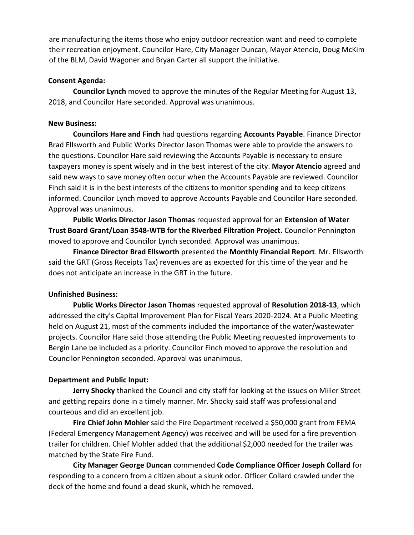are manufacturing the items those who enjoy outdoor recreation want and need to complete their recreation enjoyment. Councilor Hare, City Manager Duncan, Mayor Atencio, Doug McKim of the BLM, David Wagoner and Bryan Carter all support the initiative.

#### **Consent Agenda:**

**Councilor Lynch** moved to approve the minutes of the Regular Meeting for August 13, 2018, and Councilor Hare seconded. Approval was unanimous.

## **New Business:**

**Councilors Hare and Finch** had questions regarding **Accounts Payable**. Finance Director Brad Ellsworth and Public Works Director Jason Thomas were able to provide the answers to the questions. Councilor Hare said reviewing the Accounts Payable is necessary to ensure taxpayers money is spent wisely and in the best interest of the city. **Mayor Atencio** agreed and said new ways to save money often occur when the Accounts Payable are reviewed. Councilor Finch said it is in the best interests of the citizens to monitor spending and to keep citizens informed. Councilor Lynch moved to approve Accounts Payable and Councilor Hare seconded. Approval was unanimous.

**Public Works Director Jason Thomas** requested approval for an **Extension of Water Trust Board Grant/Loan 3548-WTB for the Riverbed Filtration Project.** Councilor Pennington moved to approve and Councilor Lynch seconded. Approval was unanimous.

**Finance Director Brad Ellsworth** presented the **Monthly Financial Report**. Mr. Ellsworth said the GRT (Gross Receipts Tax) revenues are as expected for this time of the year and he does not anticipate an increase in the GRT in the future.

# **Unfinished Business:**

**Public Works Director Jason Thomas** requested approval of **Resolution 2018-13**, which addressed the city's Capital Improvement Plan for Fiscal Years 2020-2024. At a Public Meeting held on August 21, most of the comments included the importance of the water/wastewater projects. Councilor Hare said those attending the Public Meeting requested improvements to Bergin Lane be included as a priority. Councilor Finch moved to approve the resolution and Councilor Pennington seconded. Approval was unanimous.

# **Department and Public Input:**

**Jerry Shocky** thanked the Council and city staff for looking at the issues on Miller Street and getting repairs done in a timely manner. Mr. Shocky said staff was professional and courteous and did an excellent job.

**Fire Chief John Mohler** said the Fire Department received a \$50,000 grant from FEMA (Federal Emergency Management Agency) was received and will be used for a fire prevention trailer for children. Chief Mohler added that the additional \$2,000 needed for the trailer was matched by the State Fire Fund.

**City Manager George Duncan** commended **Code Compliance Officer Joseph Collard** for responding to a concern from a citizen about a skunk odor. Officer Collard crawled under the deck of the home and found a dead skunk, which he removed.